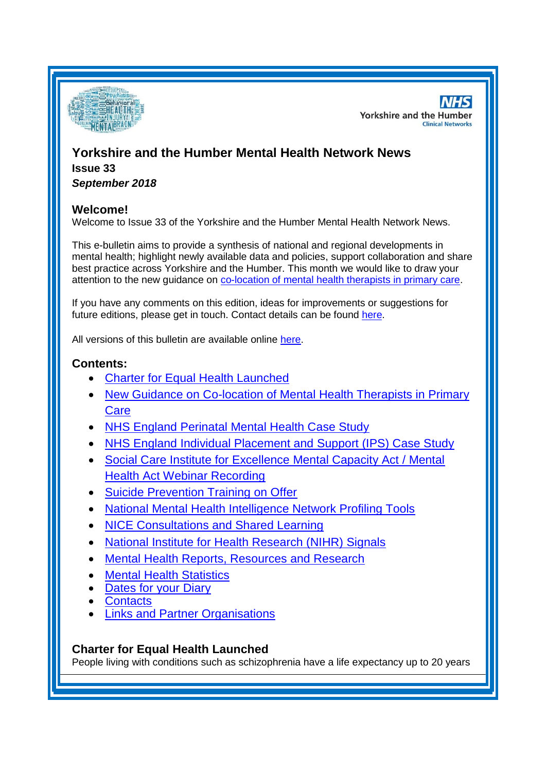

**NHS Yorkshire and the Humber Clinical Networks** 

# **Yorkshire and the Humber Mental Health Network News Issue 33**

*September 2018*

## **Welcome!**

Welcome to Issue 33 of the Yorkshire and the Humber Mental Health Network News.

This e-bulletin aims to provide a synthesis of national and regional developments in mental health; highlight newly available data and policies, support collaboration and share best practice across Yorkshire and the Humber. This month we would like to draw your attention to the new guidance on [co-location of mental health therapists in primary care.](#page-1-0)

If you have any comments on this edition, ideas for improvements or suggestions for future editions, please get in touch. Contact details can be found [here.](#page-5-0)

All versions of this bulletin are available online [here.](http://www.yhscn.nhs.uk/mental-health-clinic/mental-health-network/MH-documents-and-links.php)

# **Contents:**

- [Charter for Equal Health Launched](#page-0-0)
- [New Guidance on Co-location of Mental Health Therapists in Primary](#page-1-0)  **[Care](#page-1-0)**
- [NHS England Perinatal Mental Health Case Study](#page-1-1)
- [NHS England Individual Placement and](#page-1-2) Support (IPS) Case Study
- [Social Care Institute for Excellence Mental Capacity Act / Mental](#page-1-3)  [Health Act Webinar Recording](#page-1-3)
- [Suicide Prevention Training on Offer](#page-1-4)
- [National Mental Health Intelligence Network Profiling Tools](#page-0-0)
- [NICE Consultations and Shared Learning](#page-2-0)
- [National Institute for Health Research \(NIHR\) Signals](#page-3-0)
- [Mental Health Reports, Resources and Research](#page-0-1)
- **[Mental Health Statistics](#page-4-0)**
- [Dates for your Diary](#page-4-1)
- [Contacts](#page-5-0)
- [Links and Partner Organisations](#page-5-1)

# <span id="page-0-1"></span><span id="page-0-0"></span>**Charter for Equal Health Launched**

People living with conditions such as schizophrenia have a life expectancy up to 20 years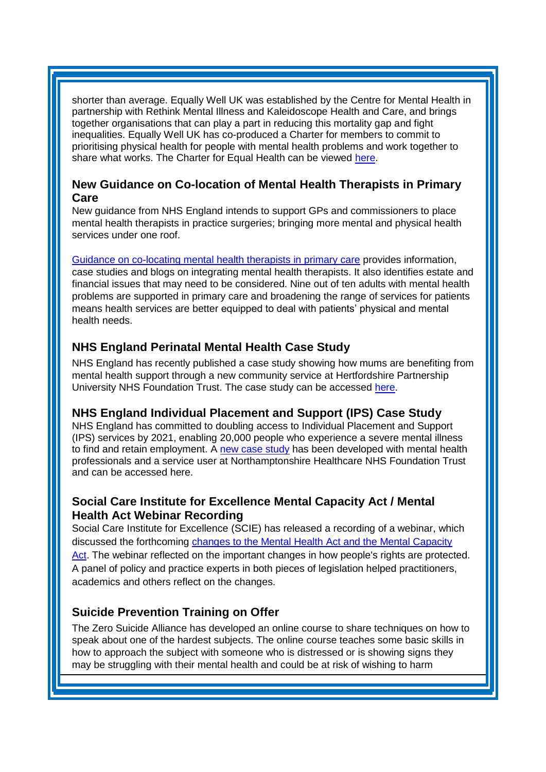shorter than average. Equally Well UK was established by the Centre for Mental Health in partnership with Rethink Mental Illness and Kaleidoscope Health and Care, and brings together organisations that can play a part in reducing this mortality gap and fight inequalities. Equally Well UK has co-produced a Charter for members to commit to prioritising physical health for people with mental health problems and work together to share what works. The Charter for Equal Health can be viewed [here.](https://equallywell.co.uk/wp-content/uploads/2018/09/Equally_Well_Charter_website.pdf)

#### <span id="page-1-0"></span>**New Guidance on Co-location of Mental Health Therapists in Primary Care**

New guidance from NHS England intends to support GPs and commissioners to place mental health therapists in practice surgeries; bringing more mental and physical health services under one roof.

[Guidance on co-locating mental health therapists in primary care](https://ccgbulletin.cmail20.com/t/d-l-bkrjtud-cdyegjt-y/) provides information, case studies and blogs on integrating mental health therapists. It also identifies estate and financial issues that may need to be considered. Nine out of ten adults with mental health problems are supported in primary care and broadening the range of services for patients means health services are better equipped to deal with patients' physical and mental health needs.

# <span id="page-1-1"></span>**NHS England Perinatal Mental Health Case Study**

NHS England has recently published a case study showing how mums are benefiting from mental health support through a new community service at Hertfordshire Partnership University NHS Foundation Trust. The case study can be accessed [here.](https://www.england.nhs.uk/publication/hertfordshire-perinatal-mental-health-community-services/)

# <span id="page-1-2"></span>**NHS England Individual Placement and Support (IPS) Case Study**

NHS England has committed to doubling access to Individual Placement and Support (IPS) services by 2021, enabling 20,000 people who experience a severe mental illness to find and retain employment. A [new case study](https://www.england.nhs.uk/mental-health/case-studies/individual-placement-and-support-offers-route-to-employment-for-people-with-severe-mental-health-conditions/) has been developed with mental health professionals and a service user at Northamptonshire Healthcare NHS Foundation Trust and can be accessed here.

# <span id="page-1-3"></span>**Social Care Institute for Excellence Mental Capacity Act / Mental Health Act Webinar Recording**

Social Care Institute for Excellence (SCIE) has released a recording of a webinar, which discussed the forthcoming [changes to the Mental Health](https://www.scie.org.uk/mca/practice/webinar/) Act and the Mental Capacity [Act.](https://www.scie.org.uk/mca/practice/webinar/) The webinar reflected on the important changes in how people's rights are protected. A panel of policy and practice experts in both pieces of legislation helped practitioners, academics and others reflect on the changes.

# <span id="page-1-4"></span>**Suicide Prevention Training on Offer**

The Zero Suicide Alliance has developed an online course to share techniques on how to speak about one of the hardest subjects. The online course teaches some basic skills in how to approach the subject with someone who is distressed or is showing signs they may be struggling with their mental health and could be at risk of wishing to harm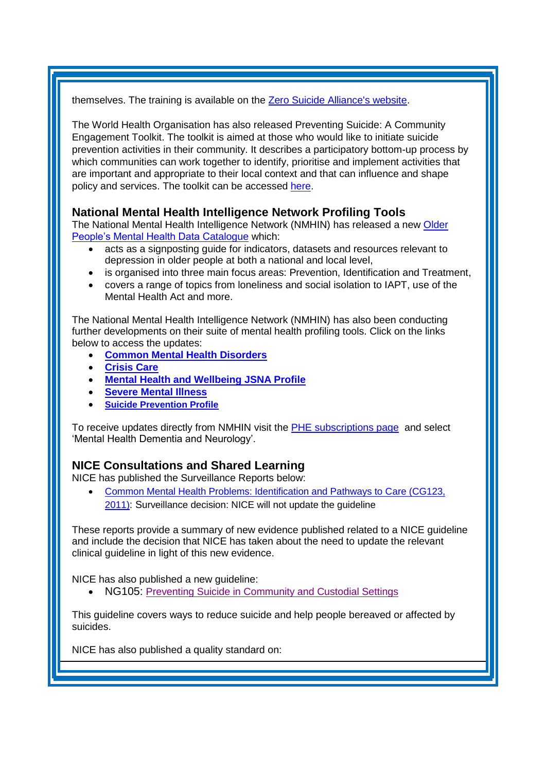themselves. The training is available on the [Zero Suicide Alliance's website.](https://informed.cmail20.com/t/d-l-bkhhjhd-clkuyzuk-t/)

The World Health Organisation has also released Preventing Suicide: A Community Engagement Toolkit. The toolkit is aimed at those who would like to initiate suicide prevention activities in their community. It describes a participatory bottom-up process by which communities can work together to identify, prioritise and implement activities that are important and appropriate to their local context and that can influence and shape policy and services. The toolkit can be accessed [here.](http://apps.who.int/iris/bitstream/handle/10665/272860/9789241513791-eng.pdf?ua=1&utm_source=The%20King%27s%20Fund%20newsletters%20%28main%20account%29&utm_medium=email&utm_campaign=9822882_NEWSL_HMP%202018-09-11&dm_i=21A8,5UJDU,FLWQCU,MVM6H,1)

### **National Mental Health Intelligence Network Profiling Tools**

The National Mental Health Intelligence Network (NMHIN) has released a new [Older](http://links.govdelivery.com/track?type=click&enid=ZWFzPTEmbXNpZD0mYXVpZD0mbWFpbGluZ2lkPTIwMTgwOTA0Ljk0NDAxNDAxJm1lc3NhZ2VpZD1NREItUFJELUJVTC0yMDE4MDkwNC45NDQwMTQwMSZkYXRhYmFzZWlkPTEwMDEmc2VyaWFsPTE3MDM1NDc0JmVtYWlsaWQ9c2FyYWguYm91bEBuaHMubmV0JnVzZXJpZD1zYXJhaC5ib3VsQG5ocy5uZXQmdGFyZ2V0aWQ9JmZsPSZleHRyYT1NdWx0aXZhcmlhdGVJZD0mJiY=&&&100&&&https://fingertips.phe.org.uk/documents/FINAL_OPMH_Data%20catalogue_220818.xlsx)  [People's Mental Health Data Catalogue](http://links.govdelivery.com/track?type=click&enid=ZWFzPTEmbXNpZD0mYXVpZD0mbWFpbGluZ2lkPTIwMTgwOTA0Ljk0NDAxNDAxJm1lc3NhZ2VpZD1NREItUFJELUJVTC0yMDE4MDkwNC45NDQwMTQwMSZkYXRhYmFzZWlkPTEwMDEmc2VyaWFsPTE3MDM1NDc0JmVtYWlsaWQ9c2FyYWguYm91bEBuaHMubmV0JnVzZXJpZD1zYXJhaC5ib3VsQG5ocy5uZXQmdGFyZ2V0aWQ9JmZsPSZleHRyYT1NdWx0aXZhcmlhdGVJZD0mJiY=&&&100&&&https://fingertips.phe.org.uk/documents/FINAL_OPMH_Data%20catalogue_220818.xlsx) which:

- acts as a signposting guide for indicators, datasets and resources relevant to depression in older people at both a national and local level,
- is organised into three main focus areas: Prevention, Identification and Treatment,
- covers a range of topics from loneliness and social isolation to IAPT, use of the Mental Health Act and more.

The National Mental Health Intelligence Network (NMHIN) has also been conducting further developments on their suite of mental health profiling tools. Click on the links below to access the updates:

- **[Common Mental Health Disorders](http://links.govdelivery.com/track?type=click&enid=ZWFzPTEmbXNpZD0mYXVpZD0mbWFpbGluZ2lkPTIwMTcxMjA1LjgxOTE2MDgxJm1lc3NhZ2VpZD1NREItUFJELUJVTC0yMDE3MTIwNS44MTkxNjA4MSZkYXRhYmFzZWlkPTEwMDEmc2VyaWFsPTE2OTcwMTE4JmVtYWlsaWQ9c2FyYWguYm91bEBuaHMubmV0JnVzZXJpZD1zYXJhaC5ib3VsQG5ocy5uZXQmdGFyZ2V0aWQ9JmZsPSZleHRyYT1NdWx0aXZhcmlhdGVJZD0mJiY=&&&104&&&https://fingertips.phe.org.uk/profile-group/mental-health/profile/common-mental-disorders)**
- **[Crisis Care](http://links.govdelivery.com/track?type=click&enid=ZWFzPTEmbXNpZD0mYXVpZD0mbWFpbGluZ2lkPTIwMTcxMjA1LjgxOTE2MDgxJm1lc3NhZ2VpZD1NREItUFJELUJVTC0yMDE3MTIwNS44MTkxNjA4MSZkYXRhYmFzZWlkPTEwMDEmc2VyaWFsPTE2OTcwMTE4JmVtYWlsaWQ9c2FyYWguYm91bEBuaHMubmV0JnVzZXJpZD1zYXJhaC5ib3VsQG5ocy5uZXQmdGFyZ2V0aWQ9JmZsPSZleHRyYT1NdWx0aXZhcmlhdGVJZD0mJiY=&&&105&&&https://fingertips.phe.org.uk/profile-group/mental-health/profile/crisis-care)**
- **[Mental Health and Wellbeing JSNA Profile](http://links.govdelivery.com/track?type=click&enid=ZWFzPTEmbXNpZD0mYXVpZD0mbWFpbGluZ2lkPTIwMTcxMjA1LjgxOTE2MDgxJm1lc3NhZ2VpZD1NREItUFJELUJVTC0yMDE3MTIwNS44MTkxNjA4MSZkYXRhYmFzZWlkPTEwMDEmc2VyaWFsPTE2OTcwMTE4JmVtYWlsaWQ9c2FyYWguYm91bEBuaHMubmV0JnVzZXJpZD1zYXJhaC5ib3VsQG5ocy5uZXQmdGFyZ2V0aWQ9JmZsPSZleHRyYT1NdWx0aXZhcmlhdGVJZD0mJiY=&&&106&&&https://fingertips.phe.org.uk/profile-group/mental-health/profile/mh-jsna)**
- **[Severe Mental Illness](http://links.govdelivery.com/track?type=click&enid=ZWFzPTEmbXNpZD0mYXVpZD0mbWFpbGluZ2lkPTIwMTcxMjA1LjgxOTE2MDgxJm1lc3NhZ2VpZD1NREItUFJELUJVTC0yMDE3MTIwNS44MTkxNjA4MSZkYXRhYmFzZWlkPTEwMDEmc2VyaWFsPTE2OTcwMTE4JmVtYWlsaWQ9c2FyYWguYm91bEBuaHMubmV0JnVzZXJpZD1zYXJhaC5ib3VsQG5ocy5uZXQmdGFyZ2V0aWQ9JmZsPSZleHRyYT1NdWx0aXZhcmlhdGVJZD0mJiY=&&&108&&&https://fingertips.phe.org.uk/profile-group/mental-health/profile/severe-mental-illness)**
- **[Suicide Prevention Profile](http://links.govdelivery.com/track?type=click&enid=ZWFzPTEmbXNpZD0mYXVpZD0mbWFpbGluZ2lkPTIwMTgwNjA1LjkwNzEwNzExJm1lc3NhZ2VpZD1NREItUFJELUJVTC0yMDE4MDYwNS45MDcxMDcxMSZkYXRhYmFzZWlkPTEwMDEmc2VyaWFsPTE3MDEzODU4JmVtYWlsaWQ9c2FyYWguYm91bEBuaHMubmV0JnVzZXJpZD1zYXJhaC5ib3VsQG5ocy5uZXQmdGFyZ2V0aWQ9JmZsPSZleHRyYT1NdWx0aXZhcmlhdGVJZD0mJiY=&&&104&&&https://fingertips.phe.org.uk/profile-group/mental-health/profile/suicide)**

To receive updates directly from NMHIN visit the [PHE subscriptions page](http://links.govdelivery.com/track?type=click&enid=ZWFzPTEmbXNpZD0mYXVpZD0mbWFpbGluZ2lkPTIwMTgwMjA3Ljg0OTY1MzgxJm1lc3NhZ2VpZD1NREItUFJELUJVTC0yMDE4MDIwNy44NDk2NTM4MSZkYXRhYmFzZWlkPTEwMDEmc2VyaWFsPTE2OTgzNDk5JmVtYWlsaWQ9c2FyYWguYm91bEBuaHMubmV0JnVzZXJpZD1zYXJhaC5ib3VsQG5ocy5uZXQmdGFyZ2V0aWQ9JmZsPSZleHRyYT1NdWx0aXZhcmlhdGVJZD0mJiY=&&&107&&&https://public.govdelivery.com/accounts/UKHPA/subscribers/new?preferences=true) and select 'Mental Health Dementia and Neurology'.

### <span id="page-2-0"></span>**NICE Consultations and Shared Learning**

NICE has published the Surveillance Reports below:

 [Common Mental Health Problems: Identification and Pathways to Care \(CG123,](https://www.nice.org.uk/guidance/cg123/resources/2018-surveillance-of-common-mental-health-problems-identification-and-pathways-to-care-nice-guideline-cg123-6535393597/chapter/Surveillance-decision?tab=evidence&utm_source=Surveillance+report+alerts&utm_campaign=346169c489-EMAIL_CAMPAIGN_2018_08_23_10_59&utm_medium=email&utm_term=0_e232b91fb2-346169c489-169540553)  [2011\)](https://www.nice.org.uk/guidance/cg123/resources/2018-surveillance-of-common-mental-health-problems-identification-and-pathways-to-care-nice-guideline-cg123-6535393597/chapter/Surveillance-decision?tab=evidence&utm_source=Surveillance+report+alerts&utm_campaign=346169c489-EMAIL_CAMPAIGN_2018_08_23_10_59&utm_medium=email&utm_term=0_e232b91fb2-346169c489-169540553): Surveillance decision: NICE will not update the guideline

These reports provide a summary of new evidence published related to a NICE guideline and include the decision that NICE has taken about the need to update the relevant clinical guideline in light of this new evidence.

NICE has also published a new guideline:

NG105: [Preventing Suicide in Community and Custodial Settings](https://www.nice.org.uk/guidance/ng105)

This guideline covers ways to reduce suicide and help people bereaved or affected by suicides.

NICE has also published a quality standard on: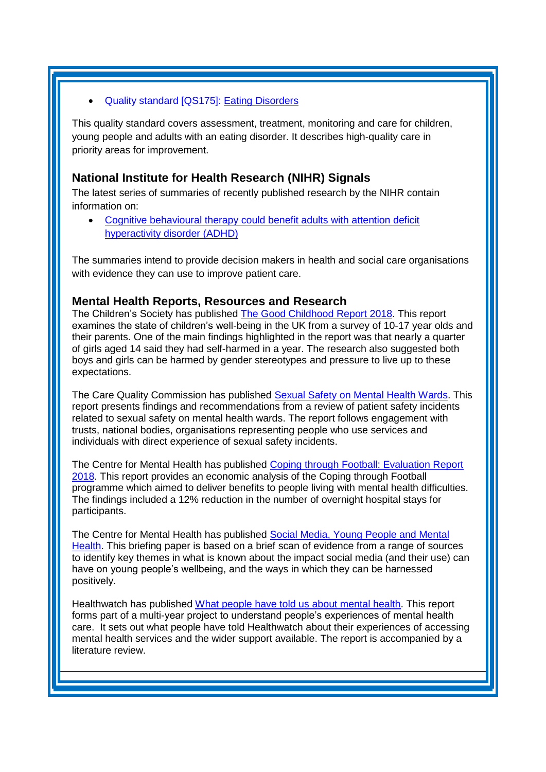#### Quality standard [QS175]: [Eating Disorders](https://www.nice.org.uk/guidance/qs175)

This quality standard covers assessment, treatment, monitoring and care for children, young people and adults with an eating disorder. It describes high-quality care in priority areas for improvement.

#### <span id="page-3-0"></span>**National Institute for Health Research (NIHR) Signals**

The latest series of summaries of recently published research by the NIHR contain information on:

 [Cognitive behavioural therapy could benefit adults with attention deficit](https://discover.dc.nihr.ac.uk/content/signal-000636/cognitive-behavioural-therapy-could-benefit-adults-with-adhd)  [hyperactivity disorder \(ADHD\)](https://discover.dc.nihr.ac.uk/content/signal-000636/cognitive-behavioural-therapy-could-benefit-adults-with-adhd)

The summaries intend to provide decision makers in health and social care organisations with evidence they can use to improve patient care.

#### **Mental Health Reports, Resources and Research**

The Children's Society has published [The Good Childhood Report 2018.](https://www.childrenssociety.org.uk/news-and-blogs/press-releases/one-in-four-14-year-old-girls-self-harm) This report examines the state of children's well-being in the UK from a survey of 10-17 year olds and their parents. One of the main findings highlighted in the report was that nearly a quarter of girls aged 14 said they had self-harmed in a year. The research also suggested both boys and girls can be harmed by gender stereotypes and pressure to live up to these expectations.

The Care Quality Commission has published [Sexual Safety on Mental Health Wards.](https://www.cqc.org.uk/publications/major-report/sexual-safety-mental-health-wards) This report presents findings and recommendations from a review of patient safety incidents related to sexual safety on mental health wards. The report follows engagement with trusts, national bodies, organisations representing people who use services and individuals with direct experience of sexual safety incidents.

The Centre for Mental Health has published [Coping through Football: Evaluation Report](https://www.centreformentalhealth.org.uk/coping-through-football) [2018.](https://www.centreformentalhealth.org.uk/coping-through-football) This report provides an economic analysis of the Coping through Football programme which aimed to deliver benefits to people living with mental health difficulties. The findings included a 12% reduction in the number of overnight hospital stays for participants.

The Centre for Mental Health has published [Social Media, Young People and Mental](https://www.centreformentalhealth.org.uk/news/social-media-impacts-on-young-peoples-wellbeing-need-better-understood)  [Health.](https://www.centreformentalhealth.org.uk/news/social-media-impacts-on-young-peoples-wellbeing-need-better-understood) This briefing paper is based on a brief scan of evidence from a range of sources to identify key themes in what is known about the impact social media (and their use) can have on young people's wellbeing, and the ways in which they can be harnessed positively.

Healthwatch has published [What people have told us about mental health.](https://www.healthwatch.co.uk/report/2018-08-29/what-people-have-told-us-about-mental-health) This report forms part of a multi-year project to understand people's experiences of mental health care. It sets out what people have told Healthwatch about their experiences of accessing mental health services and the wider support available. The report is accompanied by a literature review.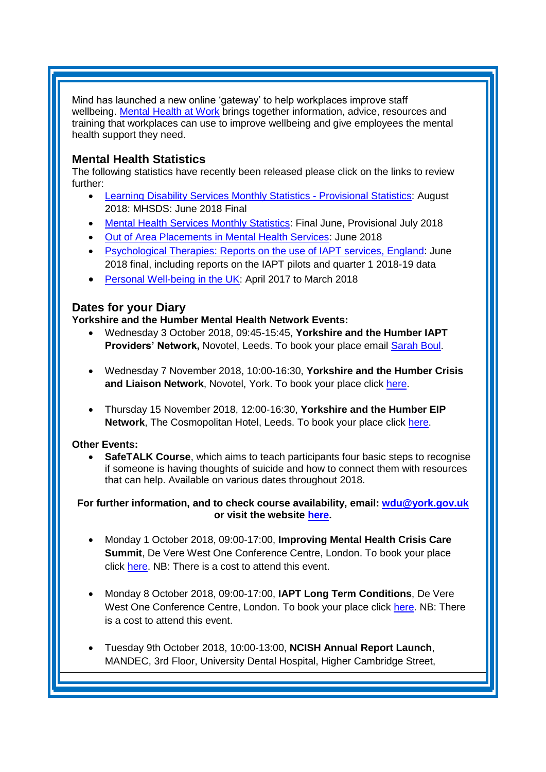Mind has launched a new online 'gateway' to help workplaces improve staff wellbeing. [Mental Health at Work](https://www.mentalhealthatwork.org.uk/) brings together information, advice, resources and training that workplaces can use to improve wellbeing and give employees the mental health support they need.

### <span id="page-4-0"></span>**Mental Health Statistics**

The following statistics have recently been released please click on the links to review further:

- <span id="page-4-1"></span> [Learning Disability Services Monthly Statistics -](https://digital.nhs.uk/data-and-information/publications/statistical/learning-disability-services-statistics/provisional-statistics-at-august-2018-mhsds-june-2018-final) Provisional Statistics: August 2018: MHSDS: June 2018 Final
- [Mental Health Services Monthly Statistics:](https://digital.nhs.uk/data-and-information/publications/statistical/mental-health-services-monthly-statistics/final-june-provisional-july-2018) Final June, Provisional July 2018
- [Out of Area Placements in Mental Health Services:](https://digital.nhs.uk/data-and-information/publications/statistical/out-of-area-placements-in-mental-health-services/june-2018) June 2018
- [Psychological Therapies: Reports on the use of IAPT services, England:](https://digital.nhs.uk/data-and-information/publications/statistical/psychological-therapies-report-on-the-use-of-iapt-services/june-2018-final-including-reports-on-the-iapt-pilots-and-quarter-1-2018-19) June 2018 final, including reports on the IAPT pilots and quarter 1 2018-19 data
- [Personal Well-being in the UK:](https://www.gov.uk/government/statistics/personal-well-being-in-the-uk-april-2017-to-march-2018) April 2017 to March 2018

### **Dates for your Diary**

**Yorkshire and the Humber Mental Health Network Events:**

- Wednesday 3 October 2018, 09:45-15:45, **Yorkshire and the Humber IAPT**  Providers' Network, Novotel, Leeds. To book your place email **Sarah Boul.**
- Wednesday 7 November 2018, 10:00-16:30, **Yorkshire and the Humber Crisis and Liaison Network**, Novotel, York. To book your place click [here.](https://www.eventbrite.co.uk/e/yorkshire-and-humber-crisis-liaison-network-meeting-tickets-49376669949)
- Thursday 15 November 2018, 12:00-16:30, **Yorkshire and the Humber EIP Network**, The Cosmopolitan Hotel, Leeds. To book your place click [here.](https://www.eventbrite.co.uk/e/yorkshire-and-the-humber-eip-network-tickets-48448234975)

#### **Other Events:**

 **SafeTALK Course**, which aims to teach participants four basic steps to recognise if someone is having thoughts of suicide and how to connect them with resources that can help. Available on various dates throughout 2018.

**For further information, and to check course availability, email: [wdu@york.gov.uk](mailto:wdu@york.gov.uk) or visit the website [here.](http://www.yorkworkforcedevelopment.org.uk/)**

- Monday 1 October 2018, 09:00-17:00, **Improving Mental Health Crisis Care Summit**, De Vere West One Conference Centre, London. To book your place click [here.](https://www.healthcareconferencesuk.co.uk/event/1171/book) NB: There is a cost to attend this event.
- Monday 8 October 2018, 09:00-17:00, **IAPT Long Term Conditions**, De Vere West One Conference Centre, London. To book your place click [here.](https://www.healthcareconferencesuk.co.uk/event/1397/book) NB: There is a cost to attend this event.
- Tuesday 9th October 2018, 10:00-13:00, **NCISH Annual Report Launch**, MANDEC, 3rd Floor, University Dental Hospital, Higher Cambridge Street,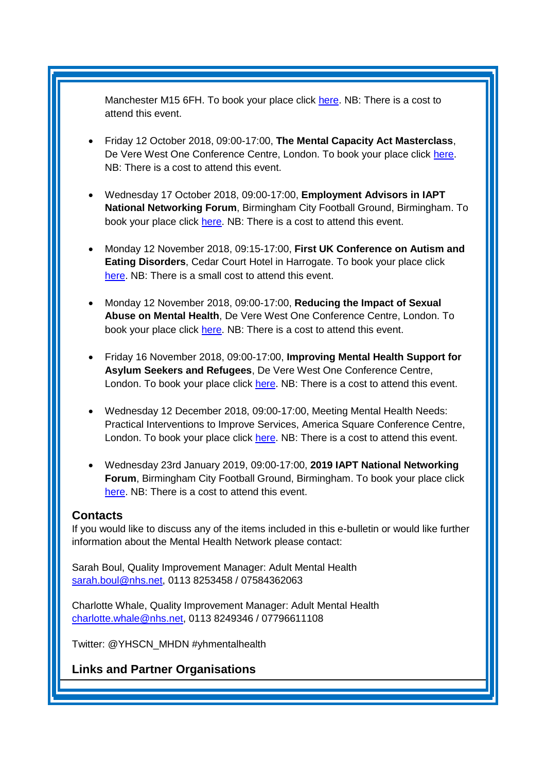Manchester M15 6FH. To book your place click [here.](https://sites.manchester.ac.uk/ncish/2018-annual-report-launch/) NB: There is a cost to attend this event.

- Friday 12 October 2018, 09:00-17:00, **The Mental Capacity Act Masterclass**, De Vere West One Conference Centre, London. To book your place click [here.](https://www.healthcareconferencesuk.co.uk/event/1283/book) NB: There is a cost to attend this event.
- Wednesday 17 October 2018, 09:00-17:00, **Employment Advisors in IAPT National Networking Forum**, Birmingham City Football Ground, Birmingham. To book your place click [here.](http://www.iapt-nnf.co.uk/Home/ViewEvent/93?utm_source=SBK%20Healthcare&utm_medium=email&utm_campaign=9489940_New%20PT%20Employment&dm_i=1SB0,5NEHG,MCTTTA,LZ3VY,1) NB: There is a cost to attend this event.
- Monday 12 November 2018, 09:15-17:00, **First UK Conference on Autism and Eating Disorders**, Cedar Court Hotel in Harrogate. To book your place click [here.](https://www.tickettailor.com/events/harrogatedistrictbranchnationalautisticsociety/190021) NB: There is a small cost to attend this event.
- Monday 12 November 2018, 09:00-17:00, **Reducing the Impact of Sexual Abuse on Mental Health**, De Vere West One Conference Centre, London. To book your place click [here.](https://www.healthcareconferencesuk.co.uk/event/1235) NB: There is a cost to attend this event.
- Friday 16 November 2018, 09:00-17:00, **Improving Mental Health Support for Asylum Seekers and Refugees**, De Vere West One Conference Centre, London. To book your place click [here.](https://www.healthcareconferencesuk.co.uk/event/1209/book) NB: There is a cost to attend this event.
- Wednesday 12 December 2018, 09:00-17:00, Meeting Mental Health Needs: Practical Interventions to Improve Services, America Square Conference Centre, London. To book your place click [here.](https://openforumevents.co.uk/events/2018/meeting-mental-health-needs-practical-interventions-to-improve-services/?utm_source=OFE+S3.1+MH18+LDN+WC+27.08.2018+NHS+4&utm_medium=email&utm_campaign=OFE+S3.1+MH18+LDN+WC+27.08.2018) NB: There is a cost to attend this event.
- Wednesday 23rd January 2019, 09:00-17:00, **2019 IAPT National Networking Forum**, Birmingham City Football Ground, Birmingham. To book your place click [here.](http://www.iapt-nnf.co.uk/booking/index/97/?utm_source=SBK%20Healthcare&utm_medium=email&utm_campaign=9813357_1901PT%201st%20email&dm_i=1SB0,5UC19,MCTTTA,MTWPG,1) NB: There is a cost to attend this event.

#### <span id="page-5-0"></span>**Contacts**

If you would like to discuss any of the items included in this e-bulletin or would like further information about the Mental Health Network please contact:

Sarah Boul, Quality Improvement Manager: Adult Mental Health [sarah.boul@nhs.net,](mailto:sarah.boul@nhs.net) 0113 8253458 / 07584362063

Charlotte Whale, Quality Improvement Manager: Adult Mental Health [charlotte.whale@nhs.net,](mailto:charlotte.whale@nhs.net) 0113 8249346 / 07796611108

Twitter: @YHSCN\_MHDN #yhmentalhealth

<span id="page-5-1"></span>**Links and Partner Organisations**